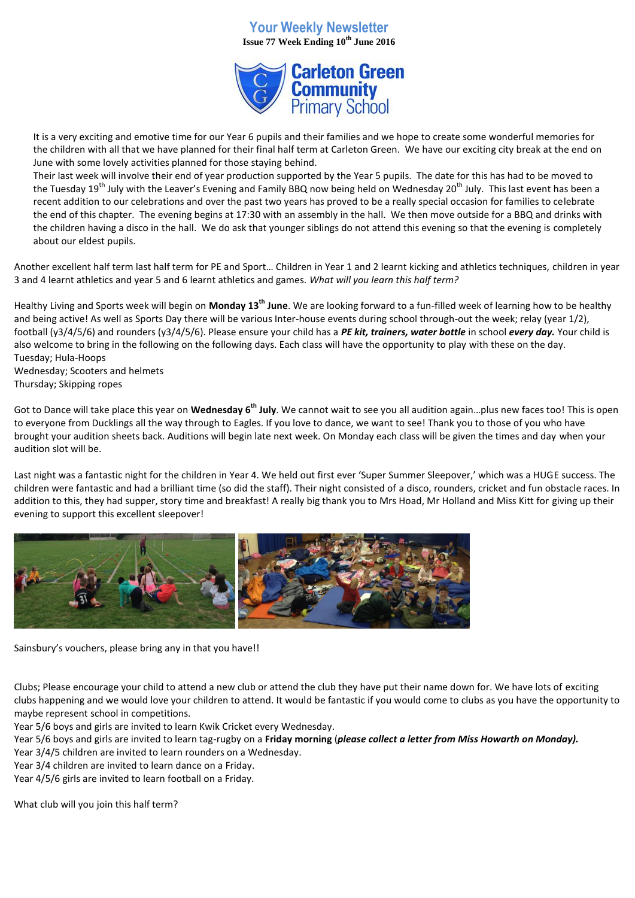## **Your Weekly Newsletter Issue 77 Week Ending 10th June 2016**



It is a very exciting and emotive time for our Year 6 pupils and their families and we hope to create some wonderful memories for the children with all that we have planned for their final half term at Carleton Green. We have our exciting city break at the end on June with some lovely activities planned for those staying behind.

Their last week will involve their end of year production supported by the Year 5 pupils. The date for this has had to be moved to the Tuesday 19<sup>th</sup> July with the Leaver's Evening and Family BBQ now being held on Wednesday 20<sup>th</sup> July. This last event has been a recent addition to our celebrations and over the past two years has proved to be a really special occasion for families to celebrate the end of this chapter. The evening begins at 17:30 with an assembly in the hall. We then move outside for a BBQ and drinks with the children having a disco in the hall. We do ask that younger siblings do not attend this evening so that the evening is completely about our eldest pupils.

Another excellent half term last half term for PE and Sport… Children in Year 1 and 2 learnt kicking and athletics techniques, children in year 3 and 4 learnt athletics and year 5 and 6 learnt athletics and games. *What will you learn this half term?*

Healthy Living and Sports week will begin on **Monday 13th June**. We are looking forward to a fun-filled week of learning how to be healthy and being active! As well as Sports Day there will be various Inter-house events during school through-out the week; relay (year 1/2), football (y3/4/5/6) and rounders (y3/4/5/6). Please ensure your child has a *PE kit, trainers, water bottle* in school *every day.* Your child is also welcome to bring in the following on the following days. Each class will have the opportunity to play with these on the day. Tuesday; Hula-Hoops

Wednesday; Scooters and helmets Thursday; Skipping ropes

Got to Dance will take place this year on **Wednesday 6th July**. We cannot wait to see you all audition again…plus new faces too! This is open to everyone from Ducklings all the way through to Eagles. If you love to dance, we want to see! Thank you to those of you who have brought your audition sheets back. Auditions will begin late next week. On Monday each class will be given the times and day when your audition slot will be.

Last night was a fantastic night for the children in Year 4. We held out first ever 'Super Summer Sleepover,' which was a HUGE success. The children were fantastic and had a brilliant time (so did the staff). Their night consisted of a disco, rounders, cricket and fun obstacle races. In addition to this, they had supper, story time and breakfast! A really big thank you to Mrs Hoad, Mr Holland and Miss Kitt for giving up their evening to support this excellent sleepover!



Sainsbury's vouchers, please bring any in that you have!!

Clubs; Please encourage your child to attend a new club or attend the club they have put their name down for. We have lots of exciting clubs happening and we would love your children to attend. It would be fantastic if you would come to clubs as you have the opportunity to maybe represent school in competitions.

Year 5/6 boys and girls are invited to learn Kwik Cricket every Wednesday.

Year 5/6 boys and girls are invited to learn tag-rugby on a **Friday morning** (*please collect a letter from Miss Howarth on Monday).*

Year 3/4/5 children are invited to learn rounders on a Wednesday. Year 3/4 children are invited to learn dance on a Friday.

Year 4/5/6 girls are invited to learn football on a Friday.

What club will you join this half term?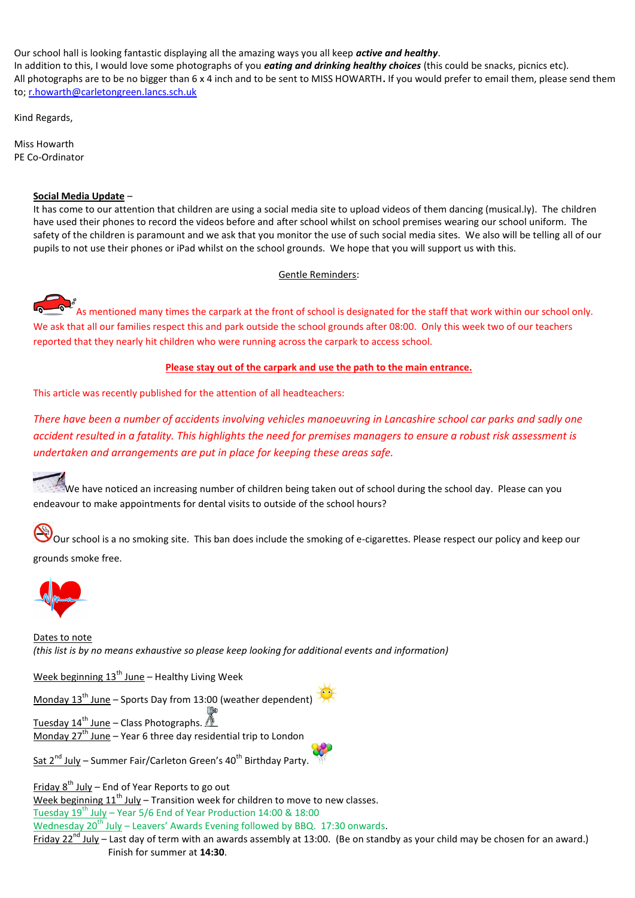Our school hall is looking fantastic displaying all the amazing ways you all keep *active and healthy*. In addition to this, I would love some photographs of you *eating and drinking healthy choices* (this could be snacks, picnics etc). All photographs are to be no bigger than 6 x 4 inch and to be sent to MISS HOWARTH**.** If you would prefer to email them, please send them to; [r.howarth@carletongreen.lancs.sch.uk](mailto:r.howarth@carletongreen.lancs.sch.uk)

Kind Regards,

Miss Howarth PE Co-Ordinator

## **Social Media Update** –

It has come to our attention that children are using a social media site to upload videos of them dancing (musical.ly). The children have used their phones to record the videos before and after school whilst on school premises wearing our school uniform. The safety of the children is paramount and we ask that you monitor the use of such social media sites. We also will be telling all of our pupils to not use their phones or iPad whilst on the school grounds. We hope that you will support us with this.

Gentle Reminders:

As mentioned many times the carpark at the front of school is designated for the staff that work within our school only. We ask that all our families respect this and park outside the school grounds after 08:00. Only this week two of our teachers reported that they nearly hit children who were running across the carpark to access school.

## **Please stay out of the carpark and use the path to the main entrance.**

This article was recently published for the attention of all headteachers:

*There have been a number of accidents involving vehicles manoeuvring in Lancashire school car parks and sadly one accident resulted in a fatality. This highlights the need for premises managers to ensure a robust risk assessment is undertaken and arrangements are put in place for keeping these areas safe.*

We have noticed an increasing number of children being taken out of school during the school day. Please can you endeavour to make appointments for dental visits to outside of the school hours?

Our school is a no smoking site. This ban does include the smoking of e-cigarettes. Please respect our policy and keep our grounds smoke free.



Dates to note *(this list is by no means exhaustive so please keep looking for additional events and information)*

Week beginning  $13<sup>th</sup>$  June – Healthy Living Week

Monday  $13^{th}$  June – Sports Day from 13:00 (weather dependent)

Tuesday  $14^{th}$  June – Class Photographs. Monday  $27<sup>th</sup>$  June – Year 6 three day residential trip to London

Sat  $2^{nd}$  July – Summer Fair/Carleton Green's 40<sup>th</sup> Birthday Party.

Friday  $8^{th}$  July – End of Year Reports to go out

Week beginning  $11<sup>th</sup>$  July – Transition week for children to move to new classes.

Tuesday  $19^{th}$  July – Year 5/6 End of Year Production 14:00 & 18:00

Wednesday  $20^{th}$  July – Leavers' Awards Evening followed by BBQ. 17:30 onwards.

Friday  $22^{nd}$  July – Last day of term with an awards assembly at 13:00. (Be on standby as your child may be chosen for an award.) Finish for summer at **14:30**.